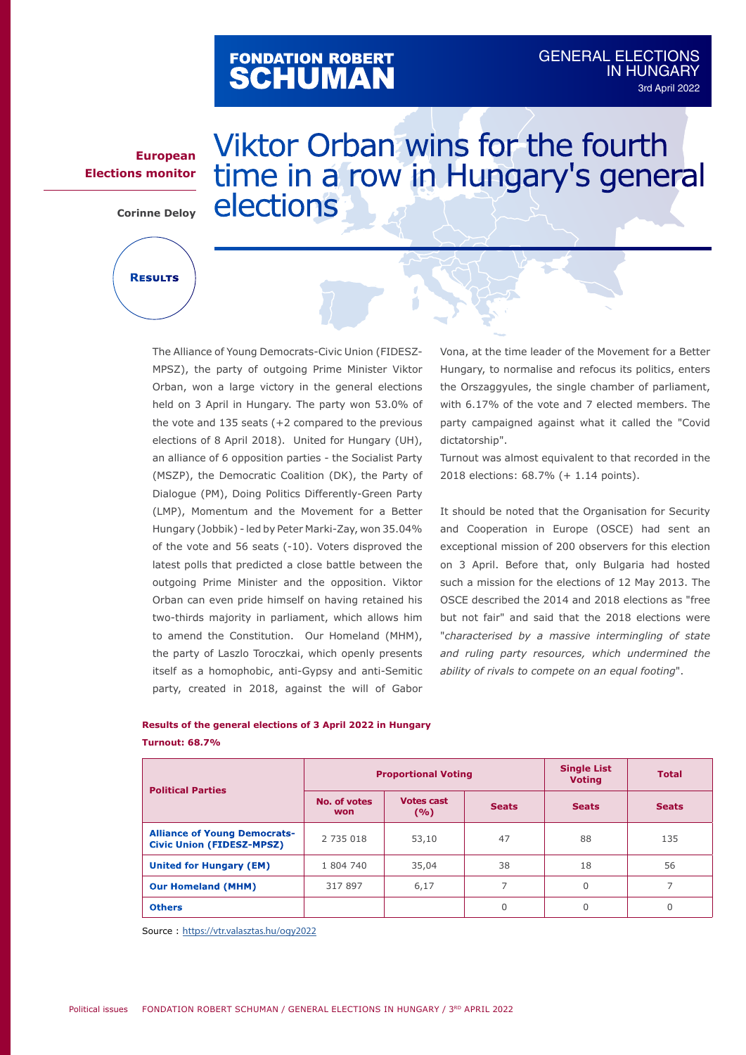## FONDATION ROBERT<br>**SCHUMAN**

elections

Viktor Orban wins for the fourth

time in a row in Hungary's general

## **European Elections monitor**

**Corinne Deloy**

## **Results**

The Alliance of Young Democrats-Civic Union (FIDESZ-MPSZ), the party of outgoing Prime Minister Viktor Orban, won a large victory in the general elections held on 3 April in Hungary. The party won 53.0% of the vote and 135 seats (+2 compared to the previous elections of 8 April 2018). United for Hungary (UH), an alliance of 6 opposition parties - the Socialist Party (MSZP), the Democratic Coalition (DK), the Party of Dialogue (PM), Doing Politics Differently-Green Party (LMP), Momentum and the Movement for a Better Hungary (Jobbik) - led by Peter Marki-Zay, won 35.04% of the vote and 56 seats (-10). Voters disproved the latest polls that predicted a close battle between the outgoing Prime Minister and the opposition. Viktor Orban can even pride himself on having retained his two-thirds majority in parliament, which allows him to amend the Constitution. Our Homeland (MHM), the party of Laszlo Toroczkai, which openly presents itself as a homophobic, anti-Gypsy and anti-Semitic party, created in 2018, against the will of Gabor

Vona, at the time leader of the Movement for a Better Hungary, to normalise and refocus its politics, enters the Orszaggyules, the single chamber of parliament, with 6.17% of the vote and 7 elected members. The party campaigned against what it called the "Covid dictatorship".

Turnout was almost equivalent to that recorded in the 2018 elections: 68.7% (+ 1.14 points).

It should be noted that the Organisation for Security and Cooperation in Europe (OSCE) had sent an exceptional mission of 200 observers for this election on 3 April. Before that, only Bulgaria had hosted such a mission for the elections of 12 May 2013. The OSCE described the 2014 and 2018 elections as "free but not fair" and said that the 2018 elections were "*characterised by a massive intermingling of state and ruling party resources, which undermined the ability of rivals to compete on an equal footing*".

## **Results of the general elections of 3 April 2022 in Hungary Turnout: 68.7%**

| <b>Political Parties</b>                                                | <b>Proportional Voting</b> |                          |              | <b>Single List</b><br><b>Voting</b> | <b>Total</b>             |
|-------------------------------------------------------------------------|----------------------------|--------------------------|--------------|-------------------------------------|--------------------------|
|                                                                         | No. of votes<br><b>won</b> | <b>Votes cast</b><br>(%) | <b>Seats</b> | <b>Seats</b>                        | <b>Seats</b>             |
| <b>Alliance of Young Democrats-</b><br><b>Civic Union (FIDESZ-MPSZ)</b> | 2 735 018                  | 53,10                    | 47           | 88                                  | 135                      |
| <b>United for Hungary (EM)</b>                                          | 1 804 740                  | 35,04                    | 38           | 18                                  | 56                       |
| <b>Our Homeland (MHM)</b>                                               | 317 897                    | 6,17                     |              | $\overline{0}$                      | $\overline{\phantom{1}}$ |
| <b>Others</b>                                                           |                            |                          | $\Omega$     | $\overline{0}$                      | 0                        |

Source : <https://vtr.valasztas.hu/ogy2022>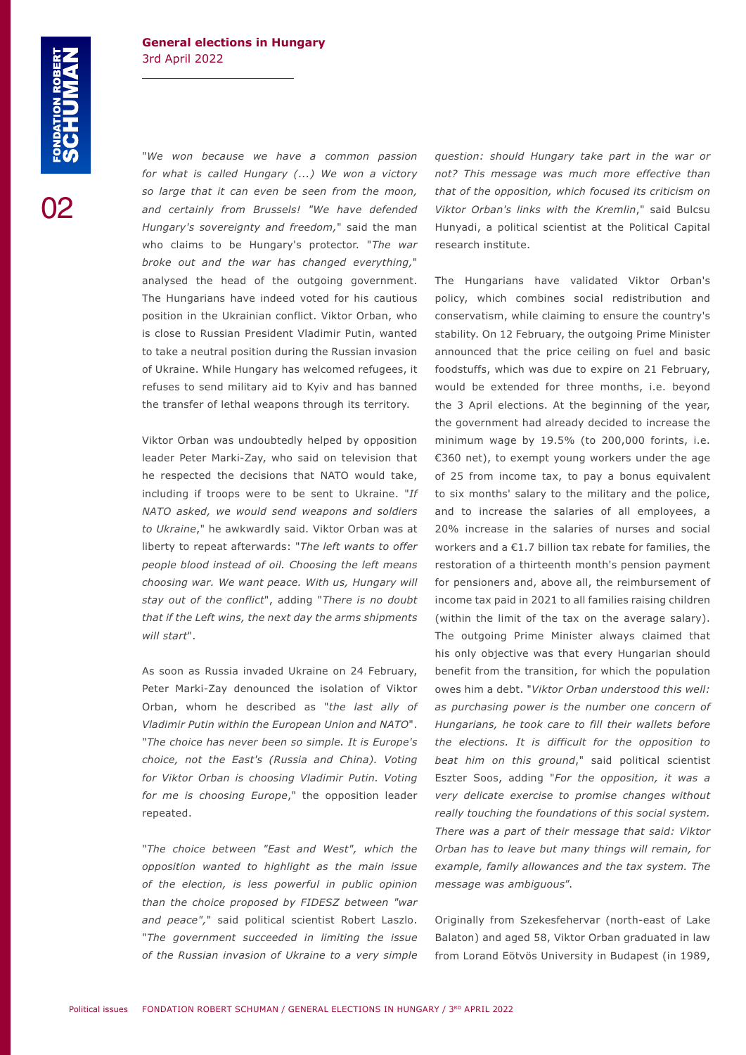02

"*We won because we have a common passion for what is called Hungary (...) We won a victory so large that it can even be seen from the moon, and certainly from Brussels! "We have defended Hungary's sovereignty and freedom,*" said the man who claims to be Hungary's protector. "*The war broke out and the war has changed everything,*" analysed the head of the outgoing government. The Hungarians have indeed voted for his cautious position in the Ukrainian conflict. Viktor Orban, who is close to Russian President Vladimir Putin, wanted to take a neutral position during the Russian invasion of Ukraine. While Hungary has welcomed refugees, it refuses to send military aid to Kyiv and has banned the transfer of lethal weapons through its territory.

Viktor Orban was undoubtedly helped by opposition leader Peter Marki-Zay, who said on television that he respected the decisions that NATO would take, including if troops were to be sent to Ukraine. "*If NATO asked, we would send weapons and soldiers to Ukraine*," he awkwardly said. Viktor Orban was at liberty to repeat afterwards: "*The left wants to offer people blood instead of oil. Choosing the left means choosing war. We want peace. With us, Hungary will stay out of the conflict*", adding "*There is no doubt that if the Left wins, the next day the arms shipments will start*".

As soon as Russia invaded Ukraine on 24 February, Peter Marki-Zay denounced the isolation of Viktor Orban, whom he described as "*the last ally of Vladimir Putin within the European Union and NATO*". "*The choice has never been so simple. It is Europe's choice, not the East's (Russia and China). Voting for Viktor Orban is choosing Vladimir Putin. Voting for me is choosing Europe*," the opposition leader repeated.

"*The choice between "East and West", which the opposition wanted to highlight as the main issue of the election, is less powerful in public opinion than the choice proposed by FIDESZ between "war and peace",*" said political scientist Robert Laszlo. "*The government succeeded in limiting the issue of the Russian invasion of Ukraine to a very simple* 

*question: should Hungary take part in the war or not? This message was much more effective than that of the opposition, which focused its criticism on Viktor Orban's links with the Kremlin*," said Bulcsu Hunyadi, a political scientist at the Political Capital research institute.

The Hungarians have validated Viktor Orban's policy, which combines social redistribution and conservatism, while claiming to ensure the country's stability. On 12 February, the outgoing Prime Minister announced that the price ceiling on fuel and basic foodstuffs, which was due to expire on 21 February, would be extended for three months, i.e. beyond the 3 April elections. At the beginning of the year, the government had already decided to increase the minimum wage by 19.5% (to 200,000 forints, i.e. €360 net), to exempt young workers under the age of 25 from income tax, to pay a bonus equivalent to six months' salary to the military and the police, and to increase the salaries of all employees, a 20% increase in the salaries of nurses and social workers and a €1.7 billion tax rebate for families, the restoration of a thirteenth month's pension payment for pensioners and, above all, the reimbursement of income tax paid in 2021 to all families raising children (within the limit of the tax on the average salary). The outgoing Prime Minister always claimed that his only objective was that every Hungarian should benefit from the transition, for which the population owes him a debt. "*Viktor Orban understood this well: as purchasing power is the number one concern of Hungarians, he took care to fill their wallets before the elections. It is difficult for the opposition to beat him on this ground*," said political scientist Eszter Soos, adding "*For the opposition, it was a very delicate exercise to promise changes without really touching the foundations of this social system. There was a part of their message that said: Viktor Orban has to leave but many things will remain, for example, family allowances and the tax system. The message was ambiguous*".

Originally from Szekesfehervar (north-east of Lake Balaton) and aged 58, Viktor Orban graduated in law from Lorand Eötvös University in Budapest (in 1989,